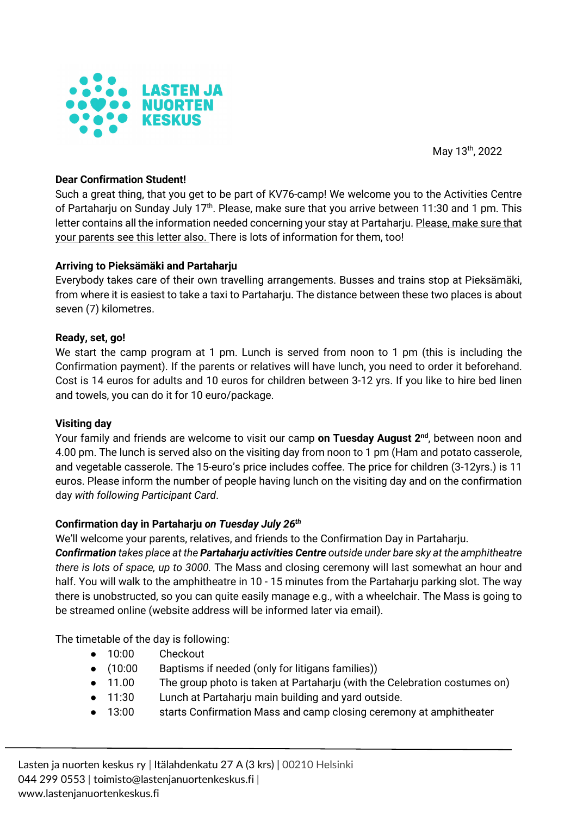

May 13th, 2022

# **Dear Confirmation Student!**

Such a great thing, that you get to be part of KV76-camp! We welcome you to the Activities Centre of Partaharju on Sunday July 17<sup>th</sup>. Please, make sure that you arrive between 11:30 and 1 pm. This letter contains all the information needed concerning your stay at Partaharju. Please, make sure that your parents see this letter also. There is lots of information for them, too!

### **Arriving to Pieksämäki and Partaharju**

Everybody takes care of their own travelling arrangements. Busses and trains stop at Pieksämäki, from where it is easiest to take a taxi to Partaharju. The distance between these two places is about seven (7) kilometres.

### **Ready, set, go!**

We start the camp program at 1 pm. Lunch is served from noon to 1 pm (this is including the Confirmation payment). If the parents or relatives will have lunch, you need to order it beforehand. Cost is 14 euros for adults and 10 euros for children between 3-12 yrs. If you like to hire bed linen and towels, you can do it for 10 euro/package.

### **Visiting day**

Your family and friends are welcome to visit our camp **on Tuesday August 2nd**, between noon and 4.00 pm. The lunch is served also on the visiting day from noon to 1 pm (Ham and potato casserole, and vegetable casserole. The 15-euro's price includes coffee. The price for children (3-12yrs.) is 11 euros. Please inform the number of people having lunch on the visiting day and on the confirmation day *with following Participant Card*.

# **Confirmation day in Partaharju** *on Tuesday July 26th*

We'll welcome your parents, relatives, and friends to the Confirmation Day in Partaharju.

*Confirmation takes place at the Partaharju activities Centre outside under bare sky at the amphitheatre there is lots of space, up to 3000.* The Mass and closing ceremony will last somewhat an hour and half. You will walk to the amphitheatre in 10 - 15 minutes from the Partaharju parking slot. The way there is unobstructed, so you can quite easily manage e.g., with a wheelchair. The Mass is going to be streamed online (website address will be informed later via email).

The timetable of the day is following:

- 10:00 Checkout
- (10:00 Baptisms if needed (only for litigans families))
- 11.00 The group photo is taken at Partaharju (with the Celebration costumes on)
- 11:30 Lunch at Partaharju main building and yard outside.
- 13:00 starts Confirmation Mass and camp closing ceremony at amphitheater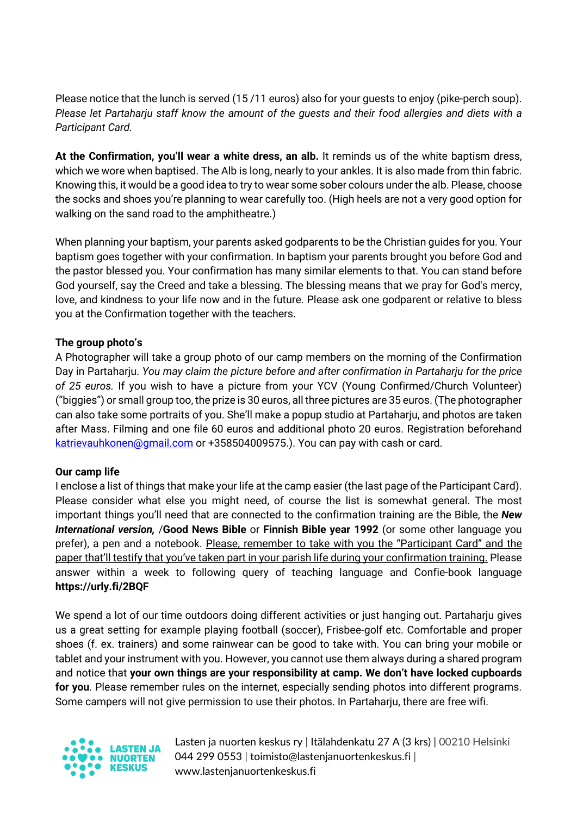Please notice that the lunch is served (15 /11 euros) also for your guests to enjoy (pike-perch soup). *Please let Partaharju staff know the amount of the guests and their food allergies and diets with a Participant Card.*

**At the Confirmation, you'll wear a white dress, an alb.** It reminds us of the white baptism dress, which we wore when baptised. The Alb is long, nearly to your ankles. It is also made from thin fabric. Knowing this, it would be a good idea to try to wear some sober colours under the alb. Please, choose the socks and shoes you're planning to wear carefully too. (High heels are not a very good option for walking on the sand road to the amphitheatre.)

When planning your baptism, your parents asked godparents to be the Christian guides for you. Your baptism goes together with your confirmation. In baptism your parents brought you before God and the pastor blessed you. Your confirmation has many similar elements to that. You can stand before God yourself, say the Creed and take a blessing. The blessing means that we pray for God's mercy, love, and kindness to your life now and in the future. Please ask one godparent or relative to bless you at the Confirmation together with the teachers.

# **The group photo's**

A Photographer will take a group photo of our camp members on the morning of the Confirmation Day in Partaharju. *You may claim the picture before and after confirmation in Partaharju for the price of 25 euros.* If you wish to have a picture from your YCV (Young Confirmed/Church Volunteer) ("biggies") or small group too, the prize is 30 euros, all three pictures are 35 euros. (The photographer can also take some portraits of you. She'll make a popup studio at Partaharju, and photos are taken after Mass. Filming and one file 60 euros and additional photo 20 euros. Registration beforehand katrievauhkonen@gmail.com or +358504009575.). You can pay with cash or card.

# **Our camp life**

I enclose a list of things that make your life at the camp easier (the last page of the Participant Card). Please consider what else you might need, of course the list is somewhat general. The most important things you'll need that are connected to the confirmation training are the Bible, the *New International version,* /**Good News Bible** or **Finnish Bible year 1992** (or some other language you prefer), a pen and a notebook. Please, remember to take with you the "Participant Card" and the paper that'll testify that you've taken part in your parish life during your confirmation training. Please answer within a week to following query of teaching language and Confie-book language **https://urly.fi/2BQF**

We spend a lot of our time outdoors doing different activities or just hanging out. Partaharju gives us a great setting for example playing football (soccer), Frisbee-golf etc. Comfortable and proper shoes (f. ex. trainers) and some rainwear can be good to take with. You can bring your mobile or tablet and your instrument with you. However, you cannot use them always during a shared program and notice that **your own things are your responsibility at camp. We don't have locked cupboards for you**. Please remember rules on the internet, especially sending photos into different programs. Some campers will not give permission to use their photos. In Partaharju, there are free wifi.



Lasten ja nuorten keskus ry | Itälahdenkatu 27 A (3 krs) | 00210 Helsinki 044 299 0553 | toimisto@lastenjanuortenkeskus.fi | www.lastenjanuortenkeskus.fi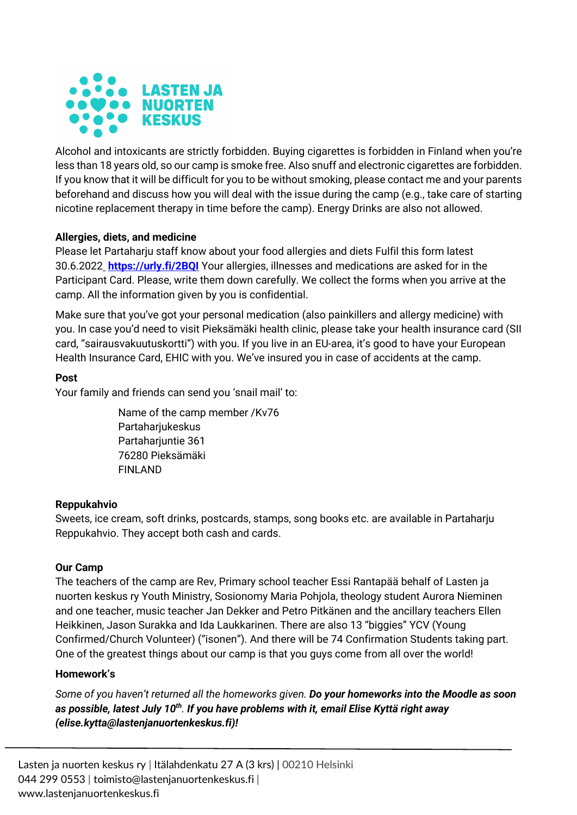

Alcohol and intoxicants are strictly forbidden. Buying cigarettes is forbidden in Finland when you're less than 18 years old, so our camp is smoke free. Also snuff and electronic cigarettes are forbidden. If you know that it will be difficult for you to be without smoking, please contact me and your parents beforehand and discuss how you will deal with the issue during the camp (e.g., take care of starting nicotine replacement therapy in time before the camp). Energy Drinks are also not allowed.

# **Allergies, diets, and medicine**

Please let Partaharju staff know about your food allergies and diets Fulfil this form latest 30.6.2022 **https://urly.fi/2BQI** Your allergies, illnesses and medications are asked for in the Participant Card. Please, write them down carefully. We collect the forms when you arrive at the camp. All the information given by you is confidential.

Make sure that you've got your personal medication (also painkillers and allergy medicine) with you. In case you'd need to visit Pieksämäki health clinic, please take your health insurance card (SII card, "sairausvakuutuskortti") with you. If you live in an EU-area, it's good to have your European Health Insurance Card, EHIC with you. We've insured you in case of accidents at the camp.

# **Post**

Your family and friends can send you 'snail mail' to:

Name of the camp member /Kv76 Partaharjukeskus Partaharjuntie 361 76280 Pieksämäki FINLAND

# **Reppukahvio**

Sweets, ice cream, soft drinks, postcards, stamps, song books etc. are available in Partaharju Reppukahvio. They accept both cash and cards.

# **Our Camp**

The teachers of the camp are Rev, Primary school teacher Essi Rantapää behalf of Lasten ja nuorten keskus ry Youth Ministry, Sosionomy Maria Pohjola, theology student Aurora Nieminen and one teacher, music teacher Jan Dekker and Petro Pitkänen and the ancillary teachers Ellen Heikkinen, Jason Surakka and Ida Laukkarinen. There are also 13 "biggies" YCV (Young Confirmed/Church Volunteer) ("isonen"). And there will be 74 Confirmation Students taking part. One of the greatest things about our camp is that you guys come from all over the world!

# **Homework's**

*Some of you haven't returned all the homeworks given. Do your homeworks into the Moodle as soon as possible, latest July 10th. If you have problems with it, email Elise Kyttä right away (elise.kytta@lastenjanuortenkeskus.fi)!*